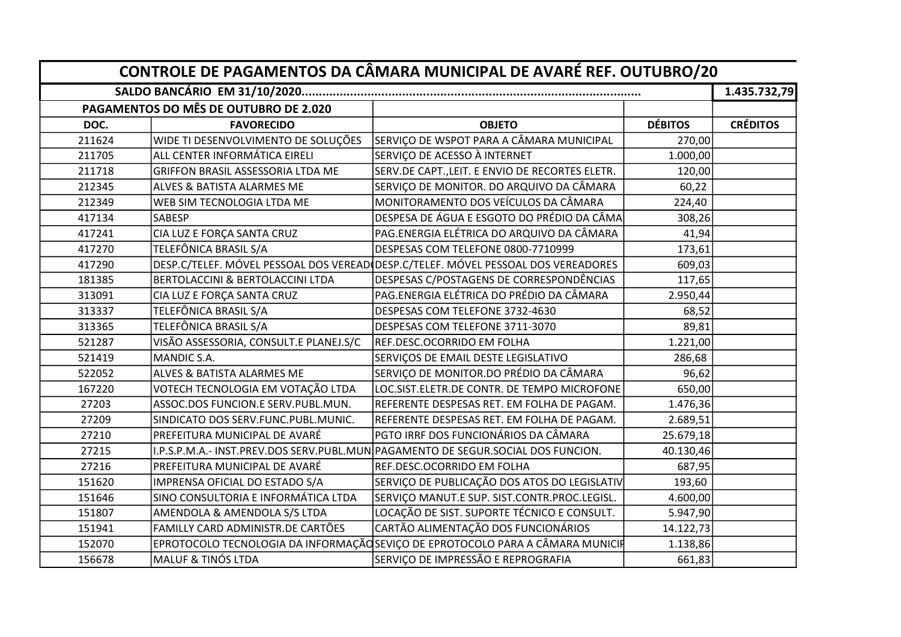| CONTROLE DE PAGAMENTOS DA CÂMARA MUNICIPAL DE AVARÉ REF. OUTUBRO/20 |                                        |                                                                                    |                |                 |  |  |  |
|---------------------------------------------------------------------|----------------------------------------|------------------------------------------------------------------------------------|----------------|-----------------|--|--|--|
|                                                                     |                                        |                                                                                    |                |                 |  |  |  |
|                                                                     | PAGAMENTOS DO MÊS DE OUTUBRO DE 2.020  |                                                                                    |                |                 |  |  |  |
| DOC.                                                                | <b>FAVORECIDO</b>                      | <b>OBJETO</b>                                                                      | <b>DÉBITOS</b> | <b>CRÉDITOS</b> |  |  |  |
| 211624                                                              | WIDE TI DESENVOLVIMENTO DE SOLUÇÕES    | SERVIÇO DE WSPOT PARA A CÂMARA MUNICIPAL                                           | 270,00         |                 |  |  |  |
| 211705                                                              | ALL CENTER INFORMÁTICA EIRELI          | SERVIÇO DE ACESSO À INTERNET                                                       | 1.000,00       |                 |  |  |  |
| 211718                                                              | GRIFFON BRASIL ASSESSORIA LTDA ME      | SERV.DE CAPT., LEIT. E ENVIO DE RECORTES ELETR.                                    | 120,00         |                 |  |  |  |
| 212345                                                              | ALVES & BATISTA ALARMES ME             | SERVIÇO DE MONITOR. DO ARQUIVO DA CÂMARA                                           | 60,22          |                 |  |  |  |
| 212349                                                              | WEB SIM TECNOLOGIA LTDA ME             | MONITORAMENTO DOS VEÍCULOS DA CÂMARA                                               | 224,40         |                 |  |  |  |
| 417134                                                              | SABESP                                 | DESPESA DE ÁGUA E ESGOTO DO PRÉDIO DA CÂMA                                         | 308,26         |                 |  |  |  |
| 417241                                                              | CIA LUZ E FORÇA SANTA CRUZ             | PAG.ENERGIA ELÉTRICA DO ARQUIVO DA CÂMARA                                          | 41,94          |                 |  |  |  |
| 417270                                                              | TELEFÔNICA BRASIL S/A                  | DESPESAS COM TELEFONE 0800-7710999                                                 | 173,61         |                 |  |  |  |
| 417290                                                              |                                        | DESP.C/TELEF. MÓVEL PESSOAL DOS VEREAD (DESP.C/TELEF. MÓVEL PESSOAL DOS VEREADORES | 609,03         |                 |  |  |  |
| 181385                                                              | BERTOLACCINI & BERTOLACCINI LTDA       | DESPESAS C/POSTAGENS DE CORRESPONDÊNCIAS                                           | 117,65         |                 |  |  |  |
| 313091                                                              | CIA LUZ E FORÇA SANTA CRUZ             | PAG.ENERGIA ELÉTRICA DO PRÉDIO DA CÂMARA                                           | 2.950,44       |                 |  |  |  |
| 313337                                                              | TELEFÔNICA BRASIL S/A                  | DESPESAS COM TELEFONE 3732-4630                                                    | 68,52          |                 |  |  |  |
| 313365                                                              | TELEFÔNICA BRASIL S/A                  | DESPESAS COM TELEFONE 3711-3070                                                    | 89,81          |                 |  |  |  |
| 521287                                                              | VISÃO ASSESSORIA, CONSULT.E PLANEJ.S/C | REF.DESC.OCORRIDO EM FOLHA                                                         | 1.221,00       |                 |  |  |  |
| 521419                                                              | MANDIC S.A.                            | SERVIÇOS DE EMAIL DESTE LEGISLATIVO                                                | 286,68         |                 |  |  |  |
| 522052                                                              | ALVES & BATISTA ALARMES ME             | SERVIÇO DE MONITOR.DO PRÉDIO DA CÂMARA                                             | 96,62          |                 |  |  |  |
| 167220                                                              | VOTECH TECNOLOGIA EM VOTAÇÃO LTDA      | LOC.SIST.ELETR.DE CONTR. DE TEMPO MICROFONE                                        | 650,00         |                 |  |  |  |
| 27203                                                               | ASSOC.DOS FUNCION.E SERV.PUBL.MUN.     | REFERENTE DESPESAS RET. EM FOLHA DE PAGAM.                                         | 1.476,36       |                 |  |  |  |
| 27209                                                               | SINDICATO DOS SERV.FUNC.PUBL.MUNIC.    | REFERENTE DESPESAS RET. EM FOLHA DE PAGAM.                                         | 2.689,51       |                 |  |  |  |
| 27210                                                               | PREFEITURA MUNICIPAL DE AVARÉ          | PGTO IRRF DOS FUNCIONÁRIOS DA CÂMARA                                               | 25.679,18      |                 |  |  |  |
| 27215                                                               |                                        | I.P.S.P.M.A.- INST.PREV.DOS SERV.PUBL.MUN PAGAMENTO DE SEGUR.SOCIAL DOS FUNCION.   | 40.130,46      |                 |  |  |  |
| 27216                                                               | PREFEITURA MUNICIPAL DE AVARÉ          | REF.DESC.OCORRIDO EM FOLHA                                                         | 687,95         |                 |  |  |  |
| 151620                                                              | IMPRENSA OFICIAL DO ESTADO S/A         | SERVIÇO DE PUBLICAÇÃO DOS ATOS DO LEGISLATIV                                       | 193,60         |                 |  |  |  |
| 151646                                                              | SINO CONSULTORIA E INFORMÁTICA LTDA    | SERVIÇO MANUT.E SUP. SIST.CONTR.PROC.LEGISL.                                       | 4.600,00       |                 |  |  |  |
| 151807                                                              | AMENDOLA & AMENDOLA S/S LTDA           | LOCAÇÃO DE SIST. SUPORTE TÉCNICO E CONSULT.                                        | 5.947,90       |                 |  |  |  |
| 151941                                                              | FAMILLY CARD ADMINISTR.DE CARTÕES      | CARTÃO ALIMENTAÇÃO DOS FUNCIONÁRIOS                                                | 14.122,73      |                 |  |  |  |
| 152070                                                              |                                        | EPROTOCOLO TECNOLOGIA DA INFORMAÇÃO SEVIÇO DE EPROTOCOLO PARA A CÂMARA MUNICIF     | 1.138,86       |                 |  |  |  |
| 156678                                                              | <b>MALUF &amp; TINÓS LTDA</b>          | SERVIÇO DE IMPRESSÃO E REPROGRAFIA                                                 | 661,83         |                 |  |  |  |